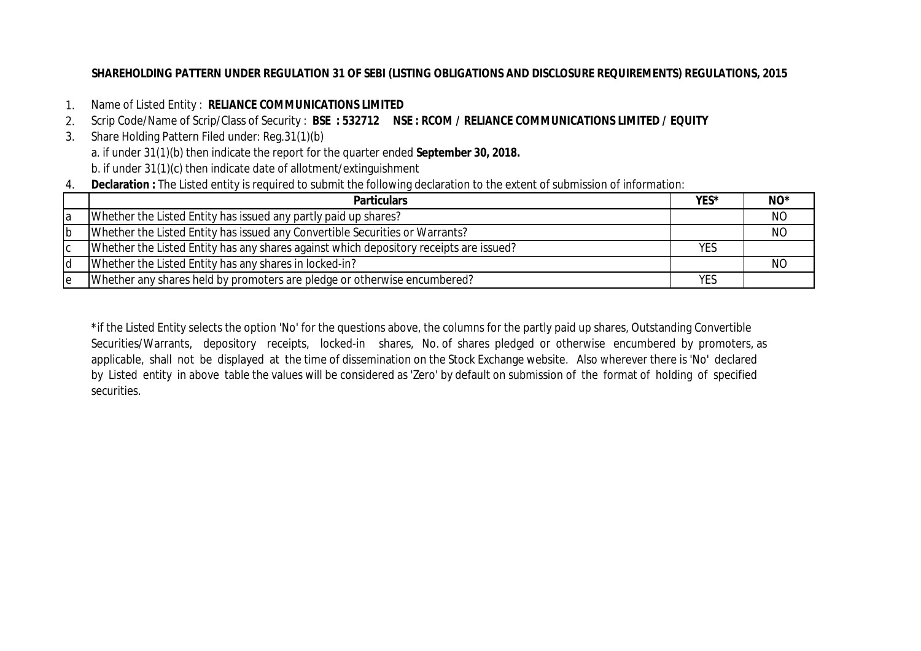# **SHAREHOLDING PATTERN UNDER REGULATION 31 OF SEBI (LISTING OBLIGATIONS AND DISCLOSURE REQUIREMENTS) REGULATIONS, 2015**

- 1. Name of Listed Entity : **RELIANCE COMMUNICATIONS LIMITED**
- 2. Scrip Code/Name of Scrip/Class of Security : **BSE : 532712 NSE : RCOM / RELIANCE COMMUNICATIONS LIMITED / EQUITY**
- 3. Share Holding Pattern Filed under: Reg.31(1)(b) a. if under 31(1)(b) then indicate the report for the quarter ended **September 30, 2018.** b. if under 31(1)(c) then indicate date of allotment/extinguishment
- 4. **Declaration :** The Listed entity is required to submit the following declaration to the extent of submission of information:

|     | <b>Particulars</b>                                                                     | YES* | $NO*$     |
|-----|----------------------------------------------------------------------------------------|------|-----------|
| ١a  | Whether the Listed Entity has issued any partly paid up shares?                        |      | NO        |
| Ib  | Whether the Listed Entity has issued any Convertible Securities or Warrants?           |      | <b>NO</b> |
| IС  | Whether the Listed Entity has any shares against which depository receipts are issued? | YES  |           |
| ld  | Whether the Listed Entity has any shares in locked-in?                                 |      | NO        |
| Ie. | Whether any shares held by promoters are pledge or otherwise encumbered?               | YES  |           |

\*if the Listed Entity selects the option 'No' for the questions above, the columns for the partly paid up shares, Outstanding Convertible Securities/Warrants, depository receipts, locked-in shares, No. of shares pledged or otherwise encumbered by promoters, as applicable, shall not be displayed at the time of dissemination on the Stock Exchange website. Also wherever there is 'No' declared by Listed entity in above table the values will be considered as 'Zero' by default on submission of the format of holding of specified securities.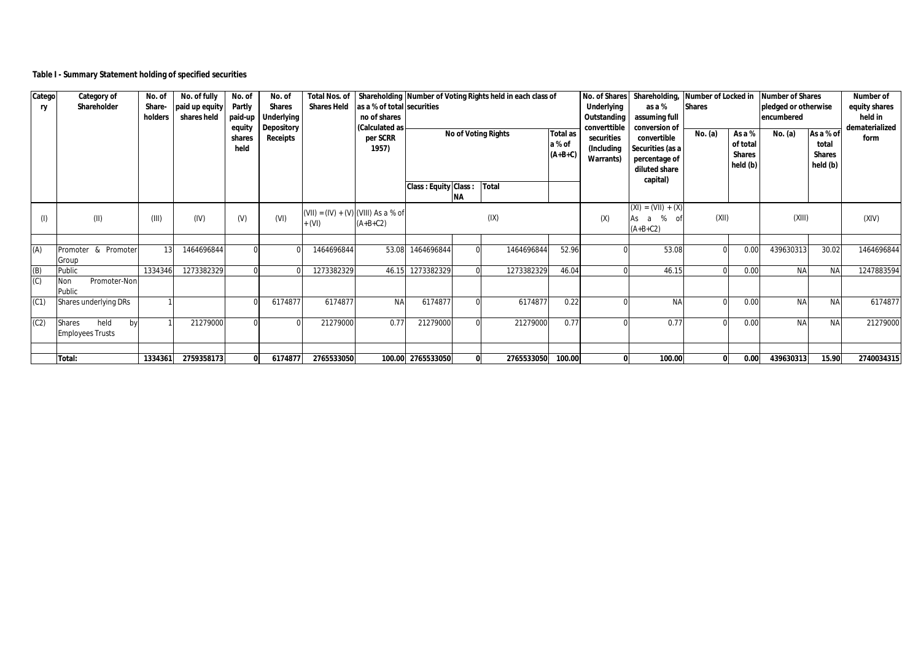## **Table I - Summary Statement holding of specified securities**

| Catego<br>ry | Category of<br>Shareholder                      | No. of<br>Share-<br>holders | No. of fully<br>paid up equity<br>shares held | No. of<br>Partly<br>paid-up<br>equity<br>shares | No. of<br><b>Shares</b><br><b>Underlying</b><br>Depository<br>Receipts | <b>Total Nos. of</b><br><b>Shares Held</b>       | as a % of total securities<br>no of shares<br>(Calculated as<br>per SCRR |                             |              | Shareholding Number of Voting Rights held in each class of<br><b>No of Voting Rights</b> | <b>Total as</b>     | No. of Shares<br>Underlying<br>Outstanding<br>converttible<br>securities | Shareholding,<br>as a %<br>assuming full<br>conversion of<br>convertible | Number of Locked in<br><b>Shares</b><br>No. (a)<br>As a % |                                       | <b>Number of Shares</b><br>pledged or otherwise<br>encumbered<br>As a % of<br>No. (a) |                                    | Number of<br>equity shares<br>held in<br>dematerialized<br>form |
|--------------|-------------------------------------------------|-----------------------------|-----------------------------------------------|-------------------------------------------------|------------------------------------------------------------------------|--------------------------------------------------|--------------------------------------------------------------------------|-----------------------------|--------------|------------------------------------------------------------------------------------------|---------------------|--------------------------------------------------------------------------|--------------------------------------------------------------------------|-----------------------------------------------------------|---------------------------------------|---------------------------------------------------------------------------------------|------------------------------------|-----------------------------------------------------------------|
|              |                                                 |                             |                                               | held                                            |                                                                        |                                                  | 1957)                                                                    | <b>Class: Equity Class:</b> |              | Total                                                                                    | a % of<br>$(A+B+C)$ | (Including<br>Warrants)                                                  | Securities (as a<br>percentage of<br>diluted share<br>capital)           |                                                           | of total<br><b>Shares</b><br>held (b) |                                                                                       | total<br><b>Shares</b><br>held (b) |                                                                 |
|              |                                                 |                             |                                               |                                                 |                                                                        |                                                  |                                                                          |                             | ΝA           |                                                                                          |                     |                                                                          |                                                                          |                                                           |                                       |                                                                                       |                                    |                                                                 |
| (1)          | (II)                                            | (III)                       | (IV)                                          | (V)                                             | (VI)                                                                   | $(VII) = (IV) + (V) (VIII)$ As a % of<br>$+ (V)$ | $(A+B+C2)$                                                               |                             |              | (IX)                                                                                     |                     | (X)                                                                      | $(XI) = (VII) + (X)$<br>As a<br>% of<br>$(A+B+C2)$                       | (XII)                                                     |                                       | (XIII)                                                                                |                                    | (XIV)                                                           |
| (A)          | Promoter & Promoter<br>Group                    | 13                          | 1464696844                                    |                                                 |                                                                        | 1464696844                                       | 53.08                                                                    | 1464696844                  |              | 1464696844                                                                               | 52.96               |                                                                          | 53.08                                                                    |                                                           | 0.00                                  | 439630313                                                                             | 30.02                              | 1464696844                                                      |
| (B)<br>(C)   | Public<br>Promoter-Non<br>Non<br>Public         | 1334346                     | 1273382329                                    |                                                 |                                                                        | 1273382329                                       | 46.15                                                                    | 1273382329                  |              | 1273382329                                                                               | 46.04               |                                                                          | 46.15                                                                    |                                                           | 0.00                                  | <b>NA</b>                                                                             | <b>NA</b>                          | 1247883594                                                      |
| (C1)         | Shares underlying DRs                           |                             |                                               |                                                 | 6174877                                                                | 6174877                                          | <b>NA</b>                                                                | 6174877                     |              | 6174877                                                                                  | 0.22                |                                                                          | <b>NA</b>                                                                |                                                           | 0.00                                  | <b>NA</b>                                                                             | <b>NA</b>                          | 6174877                                                         |
| (C2)         | held<br>Shares<br>by<br><b>Employees Trusts</b> |                             | 21279000                                      |                                                 |                                                                        | 21279000                                         | 0.77                                                                     | 21279000                    |              | 21279000                                                                                 | 0.77                |                                                                          | 0.77                                                                     |                                                           | 0.00                                  | <b>NA</b>                                                                             | <b>NA</b>                          | 21279000                                                        |
|              | Total:                                          | 1334361                     | 2759358173                                    |                                                 | 6174877                                                                | 2765533050                                       |                                                                          | 100.00 2765533050           | $\mathbf{0}$ | 2765533050                                                                               | 100.00              |                                                                          | 100.00                                                                   |                                                           | 0.00                                  | 439630313                                                                             | 15.90                              | 2740034315                                                      |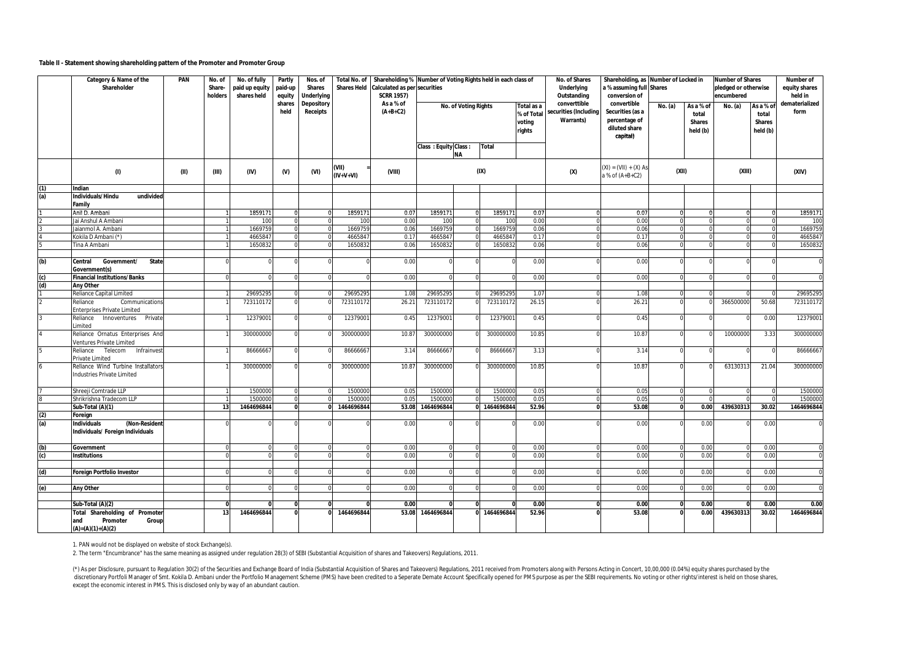#### **Table II - Statement showing shareholding pattern of the Promoter and Promoter Group**

|                    | Category & Name of the<br>Shareholder                                             | PAN  | No. of<br>Share- | No. of fully<br>paid up equity | Partly<br>paid-up | Nos. of<br><b>Shares</b>      | <b>Total No. of</b><br><b>Shares Held</b> | Shareholding % Number of Voting Rights held in each class of<br><b>Calculated as per securities</b> |                      |                             |                    |                          | No. of Shares<br><b>Underlying</b>   | a % assuming full Shares                   | Shareholding, as Number of Locked in |                    | <b>Number of Shares</b><br>pledged or otherwise<br>encumbered |                    | <b>Number of</b><br>equity shares<br>held in |
|--------------------|-----------------------------------------------------------------------------------|------|------------------|--------------------------------|-------------------|-------------------------------|-------------------------------------------|-----------------------------------------------------------------------------------------------------|----------------------|-----------------------------|--------------------|--------------------------|--------------------------------------|--------------------------------------------|--------------------------------------|--------------------|---------------------------------------------------------------|--------------------|----------------------------------------------|
|                    |                                                                                   |      | holders          | shares held                    | equity            | <b>Underlying</b>             |                                           | <b>SCRR 1957)</b>                                                                                   |                      |                             |                    |                          | Outstanding                          | conversion of                              |                                      |                    |                                                               |                    |                                              |
|                    |                                                                                   |      |                  |                                | shares<br>held    | Depository<br><b>Receipts</b> |                                           | As a % of<br>$(A+B+C2)$                                                                             |                      | <b>No. of Voting Rights</b> |                    | Total as a<br>% of Total | converttible<br>ecurities (Including | convertible<br>Securities (as a            | No. (a)                              | As a % of<br>total | No. (a)                                                       | As a % of<br>total | dematerialized<br>form                       |
|                    |                                                                                   |      |                  |                                |                   |                               |                                           |                                                                                                     |                      |                             |                    | voting                   | <b>Warrants)</b>                     | percentage of                              |                                      | <b>Shares</b>      |                                                               | <b>Shares</b>      |                                              |
|                    |                                                                                   |      |                  |                                |                   |                               |                                           |                                                                                                     |                      |                             |                    | rights                   |                                      | diluted share<br>capital)                  |                                      | held (b)           |                                                               | held (b)           |                                              |
|                    |                                                                                   |      |                  |                                |                   |                               |                                           |                                                                                                     | Class: Equity Class: |                             | <b>Total</b>       |                          |                                      |                                            |                                      |                    |                                                               |                    |                                              |
|                    |                                                                                   |      |                  |                                |                   |                               |                                           |                                                                                                     |                      | <b>NA</b>                   |                    |                          |                                      |                                            |                                      |                    |                                                               |                    |                                              |
|                    | (1)                                                                               | (II) | (III)            | (IV)                           | $0$               | (VI)                          | (VII)<br>$(IV+V+VI)$                      | (VIII)                                                                                              |                      |                             | (IX)               |                          | (X)                                  | $(XI) = (VII) + (X) As$<br>a % of (A+B+C2) | (XII)                                |                    | (XIII)                                                        |                    | (XIV)                                        |
| (1)                | Indian                                                                            |      |                  |                                |                   |                               |                                           |                                                                                                     |                      |                             |                    |                          |                                      |                                            |                                      |                    |                                                               |                    |                                              |
| (a)                | undivided<br>Individuals/Hindu<br>Family                                          |      |                  |                                |                   |                               |                                           |                                                                                                     |                      |                             |                    |                          |                                      |                                            |                                      |                    |                                                               |                    |                                              |
|                    | Anil D. Ambani                                                                    |      |                  | 1859171                        |                   |                               | 1859171                                   | 0.07                                                                                                | 1859171              |                             | 1859171            | 0.07                     |                                      | 0.07                                       |                                      | $\Omega$           |                                                               | $\Omega$           | 1859171                                      |
|                    | Jai Anshul A Ambani                                                               |      |                  | 100                            |                   |                               | 100                                       | 0.00                                                                                                | 100                  |                             | 100                | 0.00                     |                                      | 0.00                                       |                                      |                    |                                                               |                    | 100                                          |
|                    | laianmol A. Ambani                                                                |      |                  | 1669759                        |                   |                               | 1669759                                   | 0.06                                                                                                | 1669759              |                             | 1669759            | 0.06                     |                                      | 0.06<br>0.17                               |                                      | $\Omega$           |                                                               | $\Omega$           | 1669759                                      |
|                    | Kokila D Ambani (*)<br><b>Tina A Ambani</b>                                       |      |                  | 466584<br>165083               |                   |                               | 4665847                                   | 0.17<br>0.06                                                                                        | 4665847              |                             | 466584             | 0.17<br>0.06             |                                      | 0.06                                       |                                      |                    |                                                               |                    | 4665847                                      |
|                    |                                                                                   |      |                  |                                |                   |                               | 165083                                    |                                                                                                     | 165083               |                             | 165083             |                          |                                      |                                            |                                      |                    |                                                               |                    | 1650832                                      |
| $\overline{f}$     | Government/<br><b>State</b><br>Central                                            |      |                  |                                |                   |                               |                                           | 0.00                                                                                                |                      |                             |                    | 0.00                     |                                      | 0.00                                       |                                      |                    |                                                               |                    |                                              |
|                    | Government(s)                                                                     |      |                  |                                |                   |                               |                                           |                                                                                                     |                      |                             |                    |                          |                                      |                                            |                                      |                    |                                                               |                    |                                              |
| (c)                | <b>Financial Institutions/Banks</b>                                               |      | $\Omega$         |                                |                   |                               |                                           | 0.00                                                                                                |                      |                             |                    | 0.00                     |                                      | 0.00                                       |                                      |                    |                                                               | $\Omega$           |                                              |
| $\overline{d}$     | Any Other                                                                         |      |                  |                                |                   |                               |                                           |                                                                                                     |                      |                             |                    |                          |                                      |                                            |                                      |                    |                                                               |                    |                                              |
|                    | Reliance Capital Limited                                                          |      |                  | 2969529                        |                   |                               | 29695295                                  | 1.08                                                                                                | 29695295             |                             | 2969529            | 1.07                     |                                      | 1.08                                       |                                      |                    |                                                               |                    | 29695295                                     |
|                    | <b>Communications</b><br>Reliance<br>Enterprises Private Limited                  |      |                  | 723110172                      |                   |                               | 723110172                                 | $26.2^{\circ}$                                                                                      | 723110172            |                             | 72311017           | 26.15                    |                                      | 26.2                                       |                                      |                    | 366500000                                                     | 50.68              | 723110172                                    |
|                    | Reliance<br>Innoventures<br>Private<br>imited                                     |      |                  | 12379001                       |                   |                               | 12379001                                  | 0.45                                                                                                | 12379001             |                             | 1237900            | 0.45                     |                                      | 0.45                                       |                                      |                    |                                                               | 0.00               | 12379001                                     |
|                    | Reliance Ornatus Enterprises And<br>Ventures Private Limited                      |      |                  | 300000000                      |                   |                               | 300000000                                 | 10.87                                                                                               | 300000000            |                             | 300000000          | 10.85                    |                                      | 10.87                                      |                                      |                    | 1000000                                                       | 3.33               | 300000000                                    |
|                    | Reliance<br>Telecom<br>Infrainvest<br>Private Limited                             |      |                  | 8666666                        |                   |                               | 86666667                                  | 3.14                                                                                                | 86666667             |                             | 86666667           | 3.13                     |                                      | 3.14                                       |                                      |                    |                                                               |                    | 86666667                                     |
|                    | Reliance Wind Turbine Installator<br>Industries Private Limited                   |      |                  | 300000000                      | $\Omega$          |                               | 300000000                                 | 10.87                                                                                               | 300000000            |                             | 300000000          | 10.85                    |                                      | 10.87                                      |                                      |                    | 63130313                                                      | 21.04              | 300000000                                    |
|                    |                                                                                   |      |                  |                                |                   |                               |                                           |                                                                                                     |                      |                             |                    |                          |                                      |                                            |                                      |                    |                                                               |                    |                                              |
|                    | Shreeji Comtrade LLP<br>Shrikrishna Tradecom LLP                                  |      |                  | 1500000<br>150000              |                   |                               | 1500000<br>1500000                        | 0.05<br>0.05                                                                                        | 1500000<br>1500000   |                             | 1500000<br>1500000 | 0.05<br>0.05             |                                      | 0.05<br>0.05                               |                                      |                    |                                                               |                    | 1500000<br>1500000                           |
|                    | Sub-Total (A)(1)                                                                  |      | 13               | 1464696844                     | $\mathbf{0}$      |                               | 1464696844                                | 53.08                                                                                               | 1464696844           |                             | 0 1464696844       | 52.96                    |                                      | 53.08                                      | $\Omega$                             | 0.00               | 439630313                                                     | 30.02              | 1464696844                                   |
|                    | Foreign                                                                           |      |                  |                                |                   |                               |                                           |                                                                                                     |                      |                             |                    |                          |                                      |                                            |                                      |                    |                                                               |                    |                                              |
| $\frac{\omega}{3}$ | (Non-Resident<br>Individuals<br>Individuals/ Foreign Individuals                  |      |                  |                                |                   |                               |                                           | 0.00                                                                                                |                      |                             |                    | 0.00                     |                                      | 0.00                                       |                                      | 0.00               |                                                               | 0.00               |                                              |
|                    |                                                                                   |      |                  |                                |                   |                               |                                           |                                                                                                     |                      |                             |                    |                          |                                      |                                            |                                      |                    |                                                               |                    |                                              |
| (b)                | Government                                                                        |      | $\Omega$         |                                |                   |                               |                                           | 0.00                                                                                                |                      |                             |                    | 0.00                     |                                      | 0.00                                       |                                      | 0.00               |                                                               | 0.00               |                                              |
| (c)                | <b>Institutions</b>                                                               |      | $\Omega$         |                                |                   |                               |                                           | 0.00                                                                                                | $\Omega$             |                             |                    | 0.00                     |                                      | 0.00                                       |                                      | 0.00               |                                                               | 0.00               |                                              |
| (d)                |                                                                                   |      |                  |                                |                   |                               |                                           | 0.00                                                                                                |                      |                             |                    | 0.00                     |                                      | 0.00                                       |                                      | 0.00               |                                                               | 0.00               |                                              |
|                    | <b>Foreign Portfolio Investor</b>                                                 |      |                  |                                |                   |                               |                                           |                                                                                                     |                      |                             |                    |                          |                                      |                                            |                                      |                    |                                                               |                    |                                              |
|                    | Any Other                                                                         |      |                  |                                |                   |                               |                                           | 0.00                                                                                                |                      |                             |                    | 0.00                     |                                      | 0.00                                       |                                      | 0.00               |                                                               | 0.00               |                                              |
|                    |                                                                                   |      |                  |                                |                   |                               |                                           |                                                                                                     |                      |                             |                    |                          |                                      |                                            |                                      |                    |                                                               |                    |                                              |
|                    | Sub-Total (A)(2)                                                                  |      |                  |                                |                   |                               |                                           | 0.00                                                                                                | n                    |                             |                    | 0.00                     |                                      | 0.00                                       |                                      | 0.00               |                                                               | 0.00               | 0.00                                         |
|                    | Total Shareholding of Promoter<br>and<br>Promoter<br>Group<br>$(A)=(A)(1)+(A)(2)$ |      | 13               | 1464696844                     |                   |                               | 1464696844                                | 53.08                                                                                               | 1464696844           |                             | 0 1464696844       | 52.96                    |                                      | 53.08                                      |                                      | 0.00               | 439630313                                                     | 30.02              | 1464696844                                   |

1. PAN would not be displayed on website of stock Exchange(s).

2. The term "Encumbrance" has the same meaning as assigned under regulation 28(3) of SEBI (Substantial Acquisition of shares and Takeovers) Regulations, 2011.

(\*) As per Disclosure, pursuant to Regulation 30(2) of the Securities and Exchange Board of India (Substantial Acquisition of Shares and Takeovers) Regulations, 2011 received from Promoters along with Persons Acting in Con except the economic interest in PMS. This is disclosed only by way of an abundant caution.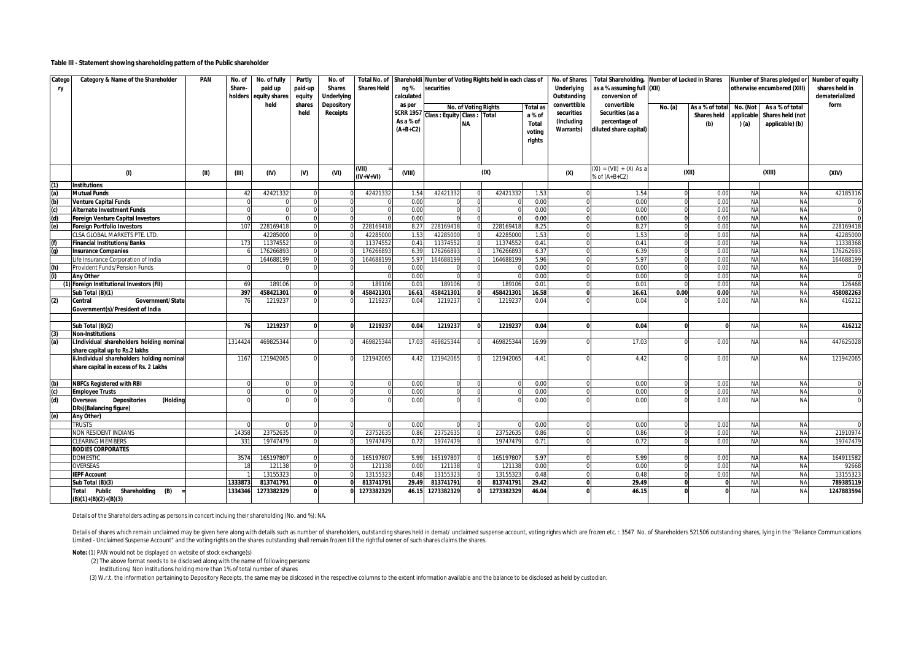#### **Table III - Statement showing shareholding pattern of the Public shareholder**

| Catego<br>ry | Category & Name of the Shareholder                                                   | PAN  | No. of<br>Share-<br>holders | No. of fully<br>paid up<br>equity shares | Partly<br>paid-up<br>equity | No. of<br><b>Shares</b><br><b>Underlying</b> | <b>Total No. of</b><br><b>Shares Held</b> | ng %<br>calculated                                    | Shareholdi Number of Voting Rights held in each class of<br>securities |                      |                    |                                                        | No. of Shares<br>Underlying<br>Outstanding            | <b>Total Shareholding,</b><br>as a % assuming full (XII)<br>conversion of  | <b>Number of Locked in Shares</b> |                                              |                                 | Number of Shares pledged or<br>otherwise encumbered (XIII) | Number of equity<br>shares held in<br>dematerialized |
|--------------|--------------------------------------------------------------------------------------|------|-----------------------------|------------------------------------------|-----------------------------|----------------------------------------------|-------------------------------------------|-------------------------------------------------------|------------------------------------------------------------------------|----------------------|--------------------|--------------------------------------------------------|-------------------------------------------------------|----------------------------------------------------------------------------|-----------------------------------|----------------------------------------------|---------------------------------|------------------------------------------------------------|------------------------------------------------------|
|              |                                                                                      |      |                             | held                                     | shares<br>held              | <b>Depository</b><br>Receipts                |                                           | as per<br><b>SCRR 1957</b><br>As a % of<br>$(A+B+C2)$ | Class : Equity Class : Total                                           | No. of Voting Rights |                    | <b>Total as</b><br>a % of<br>Total<br>votina<br>rights | converttible<br>securities<br>(Including<br>Warrants) | convertible<br>Securities (as a<br>percentage of<br>diluted share capital) | No. (a)                           | As a % of total<br><b>Shares held</b><br>(b) | No. (Not<br>applicable<br>) (a) | As a % of total<br>Shares held (not<br>applicable) (b)     | form                                                 |
|              | (1)                                                                                  | (11) | (III)                       | (IV)                                     | $(V)$                       | (VI)                                         | (VII)<br>(IV+V+VI)                        | (VIII)                                                |                                                                        |                      | (IX)               |                                                        | (X)                                                   | $(XI) = (VII) + (X) As a$<br>% of (A+B+C2)                                 |                                   | (XII)                                        |                                 | (XIII)                                                     | (XIV)                                                |
| (1)          | <b>Institutions</b>                                                                  |      |                             |                                          |                             |                                              |                                           |                                                       |                                                                        |                      |                    |                                                        |                                                       |                                                                            |                                   |                                              |                                 |                                                            |                                                      |
| (a)          | <b>Mutual Funds</b>                                                                  |      | 42                          | 4242133                                  |                             |                                              | 4242133                                   | 1.54                                                  | 4242133                                                                | $\Omega$             | 424213             | 1.53                                                   |                                                       | 1.54                                                                       | $\Omega$                          | 0.00                                         | <b>NA</b>                       | <b>NA</b>                                                  | 42185316                                             |
| (b)          | <b>Venture Capital Funds</b>                                                         |      |                             |                                          |                             |                                              |                                           | 0.00                                                  |                                                                        | $\Omega$             |                    | 0.00                                                   | $\Omega$                                              | 0.00                                                                       | $\Omega$                          | 0.00                                         | <b>NA</b>                       | <b>NA</b>                                                  |                                                      |
| (c)          | <b>Alternate Investment Funds</b>                                                    |      |                             |                                          |                             |                                              |                                           | 0.00                                                  |                                                                        |                      |                    | 0.00                                                   |                                                       | 0.00                                                                       |                                   | 0.00                                         | <b>NA</b>                       | <b>NA</b>                                                  |                                                      |
| (d)          | <b>Foreign Venture Capital Investors</b>                                             |      |                             |                                          |                             |                                              |                                           | 0.00                                                  |                                                                        |                      |                    | 0.00                                                   |                                                       | 0.00                                                                       |                                   | 0.00                                         | <b>NA</b><br><b>NA</b>          | <b>NA</b><br><b>NA</b>                                     |                                                      |
| (e)          | <b>Foreign Portfolio Investors</b><br>CLSA GLOBAL MARKETS PTE. LTD                   |      | 107                         | 22816941<br>42285000                     |                             |                                              | 22816941<br>42285000                      | 8.27<br>1.53                                          | 228169418<br>42285000                                                  |                      | 2281694<br>4228500 | 8.25<br>1.53                                           |                                                       | 8.27<br>1.53                                                               |                                   | 0.00<br>0.00                                 | <b>NA</b>                       | <b>NA</b>                                                  | 228169418<br>4228500                                 |
| (f)          | <b>Financial Institutions/Banks</b>                                                  |      | 173                         | 1137455                                  |                             |                                              | 1137455                                   | 0.41                                                  | 11374552                                                               |                      | 1137455            | 0.41                                                   | $\Omega$                                              | 0.41                                                                       |                                   | 0.00                                         | <b>NA</b>                       | <b>NA</b>                                                  | 11338368                                             |
| (a)          | <b>Insurance Companies</b>                                                           |      |                             | 17626689                                 |                             |                                              | 17626689                                  | 6.39                                                  | 176266893                                                              |                      | 17626689           | 6.37                                                   |                                                       | 6.39                                                                       | $\Omega$                          | 0.00                                         | <b>NA</b>                       | <b>NA</b>                                                  | 176262693                                            |
|              | Life Insurance Corporation of India                                                  |      |                             | 164688199                                |                             |                                              | 164688199                                 | 5.97                                                  | 164688199                                                              | $\Omega$             | 16468819           | 5.96                                                   | $\Omega$                                              | 5.97                                                                       | $\Omega$                          | 0.00                                         | <b>NA</b>                       | <b>NA</b>                                                  | 164688199                                            |
| (h)          | Provident Funds/Pension Funds                                                        |      | $\Omega$                    |                                          | $\Omega$                    |                                              |                                           | 0.00                                                  |                                                                        | $\Omega$             |                    | 0.00                                                   | $\Omega$                                              | 0.00                                                                       | $\Omega$                          | 0.00                                         | <b>NA</b>                       | <b>NA</b>                                                  |                                                      |
| (i)          | <b>Any Other</b>                                                                     |      |                             |                                          |                             |                                              |                                           | 0.00                                                  |                                                                        | $\Omega$             |                    | 0.00                                                   | $\Omega$                                              | 0.00                                                                       | $\Omega$                          | 0.00                                         | <b>NA</b>                       | <b>NA</b>                                                  |                                                      |
|              | (1) Foreign Institutional Investors (FII)                                            |      | 69                          | 189106                                   |                             |                                              | 189106                                    | 0.01                                                  | 189106                                                                 |                      | 18910              | 0.01                                                   |                                                       | $0.0^{\circ}$                                                              |                                   | 0.00                                         | <b>NA</b>                       | <b>NA</b>                                                  | 126468                                               |
|              | Sub Total (B)(1)                                                                     |      | 397                         | 458421301                                |                             |                                              | 458421301                                 | 16.61                                                 | 458421301                                                              |                      | 45842130           | 16.58                                                  |                                                       | 16.61                                                                      | 0.00                              | 0.00                                         | NA                              | <b>NA</b>                                                  | 458082263                                            |
| (2)          | Central<br>Government/State<br>Government(s)/President of India                      |      | 76                          | 1219237                                  |                             |                                              | 1219237                                   | 0.04                                                  | 1219237                                                                |                      | 121923             | 0.04                                                   |                                                       | 0.04                                                                       |                                   | 0.00                                         | <b>NA</b>                       | <b>NA</b>                                                  | 416212                                               |
|              | Sub Total (B)(2)                                                                     |      | 76                          | 1219237                                  | $\Omega$                    |                                              | 1219237                                   | 0.04                                                  | 1219237                                                                | $\Omega$             | 1219237            | 0.04                                                   | $\Omega$                                              | 0.04                                                                       | $\Omega$                          | $\Omega$                                     | <b>NA</b>                       | <b>NA</b>                                                  | 416212                                               |
| (3)          | <b>Non-Institutions</b>                                                              |      |                             |                                          |                             |                                              |                                           |                                                       |                                                                        |                      |                    |                                                        |                                                       |                                                                            |                                   |                                              |                                 |                                                            |                                                      |
| (a)          | i.Individual shareholders holding nominal<br>share capital up to Rs.2 lakhs          |      | 1314424                     | 469825344                                |                             |                                              | 469825344                                 | 17.03                                                 | 469825344                                                              |                      | 46982534           | 16.99                                                  |                                                       | 17.03                                                                      |                                   | 0.00                                         | <b>NA</b>                       | <b>NA</b>                                                  | 447625028                                            |
|              | ii.Individual shareholders holding nominal<br>share capital in excess of Rs. 2 Lakhs |      | 1167                        | 121942065                                |                             |                                              | 121942065                                 | 4.42                                                  | 121942065                                                              |                      | 121942065          | 4.41                                                   |                                                       | 4.42                                                                       |                                   | 0.00                                         | <b>NA</b>                       | <b>NA</b>                                                  | 121942065                                            |
| (b)          | <b>NBFCs Registered with RBI</b>                                                     |      | $\Omega$                    |                                          |                             |                                              |                                           | 0.00                                                  | $\Omega$                                                               | $\Omega$             |                    | 0.00                                                   | $\Omega$                                              | 0.00                                                                       | $\Omega$                          | 0.00                                         | NA                              | <b>NA</b>                                                  |                                                      |
| (c)          | <b>Employee Trusts</b>                                                               |      | $\Omega$                    |                                          |                             |                                              |                                           | 0.00                                                  |                                                                        | $\Omega$             |                    | 0.00                                                   | $\Omega$                                              | 0.00                                                                       | $\Omega$                          | 0.00                                         | NA                              | <b>NA</b>                                                  |                                                      |
| (d)          | <b>Depositories</b><br>(Holdina<br><b>Overseas</b><br>DRs)(Balancing figure)         |      |                             |                                          |                             |                                              |                                           | 0.00                                                  |                                                                        |                      |                    | 0.00                                                   |                                                       | 0.00                                                                       |                                   | 0.00                                         | <b>NA</b>                       | <b>NA</b>                                                  |                                                      |
| (e)          | Any Other)<br><b>TRUSTS</b>                                                          |      |                             |                                          |                             |                                              |                                           |                                                       |                                                                        |                      |                    | 0.00                                                   |                                                       |                                                                            |                                   |                                              |                                 | <b>NA</b>                                                  |                                                      |
|              | NON RESIDENT INDIANS                                                                 |      | 14358                       | 2375263                                  |                             |                                              | 23752635                                  | 0.00<br>0.86                                          | 23752635                                                               |                      | 2375263            | 0.86                                                   |                                                       | 0.00<br>0.86                                                               |                                   | 0.00<br>0.00                                 | ΝA<br><b>NA</b>                 | <b>NA</b>                                                  | 21910974                                             |
|              | CLEARING MEMBERS                                                                     |      | 331                         | 1974747                                  |                             |                                              | 19747479                                  | 0.72                                                  | 19747479                                                               |                      | 1974747            | 0.71                                                   |                                                       | 0.72                                                                       |                                   | 0.00                                         | NA                              | <b>NA</b>                                                  | 19747479                                             |
|              | <b>BODIES CORPORATES</b>                                                             |      |                             |                                          |                             |                                              |                                           |                                                       |                                                                        |                      |                    |                                                        |                                                       |                                                                            |                                   |                                              |                                 |                                                            |                                                      |
|              | <b>DOMESTIC</b>                                                                      |      | 3574                        | 16519780                                 |                             |                                              | 16519780                                  | 5.99                                                  | 165197807                                                              |                      | 16519780           | 5.97                                                   |                                                       | 5.99                                                                       | $\Omega$                          | 0.00                                         | NA                              | <b>NA</b>                                                  | 164911582                                            |
|              | <b>OVERSEAS</b>                                                                      |      | 18                          | 121138                                   |                             |                                              | 121138                                    | 0.00                                                  | 121138                                                                 | $\Omega$             | 12113              | 0.00                                                   | $\Omega$                                              | 0.00                                                                       | $\Omega$                          | 0.00                                         | NA                              | <b>NA</b>                                                  | 92668                                                |
|              | <b>IEPF Account</b>                                                                  |      |                             | 1315532                                  |                             |                                              | 1315532                                   | 0.48                                                  | 1315532                                                                | $\Omega$             | 1315532            | 0.48                                                   | $\Omega$                                              | 0.48                                                                       | $\Omega$                          | 0.00                                         | NA                              | <b>NA</b>                                                  | 1315532                                              |
|              | Sub Total (B)(3)                                                                     |      | 133387                      | 813741791                                | 0                           |                                              | 813741791                                 | 29.49                                                 | 813741791                                                              |                      | 81374179           | 29.42                                                  | $\mathbf{0}$                                          | 29.49                                                                      | $\bf{0}$                          |                                              | <b>NA</b>                       | <b>NA</b>                                                  | 789385119                                            |
|              | Shareholding (B)<br>Public<br>Total                                                  |      | 1334346                     | 1273382329                               |                             |                                              | 1273382329                                |                                                       | 46.15 1273382329                                                       |                      | 1273382329         | 46.04                                                  |                                                       | 46.15                                                                      |                                   |                                              | <b>NA</b>                       | <b>NA</b>                                                  | 1247883594                                           |
|              | $(B)(1)+(B)(2)+(B)(3)$                                                               |      |                             |                                          |                             |                                              |                                           |                                                       |                                                                        |                      |                    |                                                        |                                                       |                                                                            |                                   |                                              |                                 |                                                            |                                                      |

Details of the Shareholders acting as persons in concert incluing their shareholding (No. and %): NA.

Details of shares which remain unclaimed may be given here along with details such as number of shareholders, outstanding shares held in demat/ unclaimed suspense account, voting righrs which are frozen etc. : 3547 No. of Limited - Unclaimed Suspense Account" and the voting rights on the shares outstanding shall remain frozen till the rightful owner of such shares claims the shares.

**Note:** (1) PAN would not be displayed on website of stock exchange(s)

(2) The above format needs to be disclosed along with the name of following persons:

Institutions/ Non Institutions holding more than 1% of total number of shares

(3) W.r.t. the information pertaining to Depository Receipts, the same may be dislcosed in the respective columns to the extent information available and the balance to be disclosed as held by custodian.